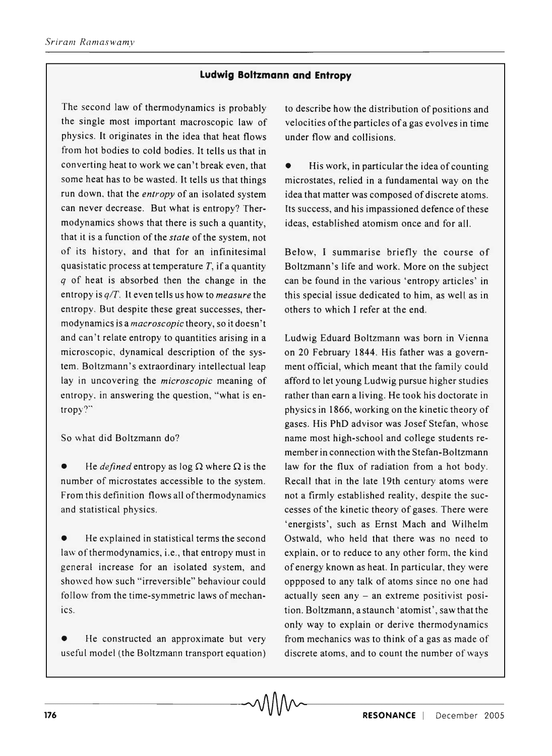## **Ludwig Boltzmann and Entropy**

The second law of thermodynamics is probably the single most important macroscopic law of physics. It originates in the idea that heat flows from hot bodies to cold bodies. It tells us that in converting heat to work we can't break even, that some heat has to be wasted. It tells us that things run down. that the *entropy* of an isolated system can never decrease. But what is entropy? Thermodynamics shows that there is such a quantity, that it is a function of the *state* of the system, not of its history, and that for an infinitesimal quasi static process at temperature  $T$ , if a quantity *q* of heat is absorbed then the change in the entropy is *q/T.* It even tells us how to *measure* the entropy. But despite these great successes, thermodynamics is a *macroscopic* theory, so it doesn't and can't relate entropy to quantities arising in a microscopic, dynamical description of the system. Boltzmann's extraordinary intellectual leap lay in uncovering the *microscopic* meaning of entropy. in answering the question, "what is entropy?"'

So what did Boltzmann do?

He *defined* entropy as log  $\Omega$  where  $\Omega$  is the number of microstates accessible to the system. From this definition flows all of thermodynamics and statistical physics.

He explained in statistical terms the second law of thermodynamics, i.e., that entropy must in general increase for an isolated system, and showed how such "irreversible" behaviour could follow from the time-symmetric laws of mechanics.

He constructed an approximate but very useful model (the Boltzmann transport equation) to describe how the distribution of positions and velocities of the particles of a gas evolves in time under flow and collisions.

• His work, in particular the idea of counting microstates, relied in a fundamental way on the idea that matter was composed of discrete atoms. Its success, and his impassioned defence of these ideas, established atomism once and for all.

Below, I summarise briefly the course of Boltzmann's life and work. More on the subject can be found in the various 'entropy articles' in this special issue dedicated to him, as well as in others to which I refer at the end.

Ludwig Eduard Boltzmann was born in Vienna on 20 February 1844. His father was a government official, which meant that the family could afford to let young Ludwig pursue higher studies rather than earn a living. He took his doctorate in physics in 1866, working on the kinetic theory of gases. His PhD advisor was Josef Stefan, whose name most high-school and college students remember in connection with the Stefan-Boltzmann law for the flux of radiation from a hot body. Recall that in the late 19th century atoms were not a firmly established reality, despite the successes of the kinetic theory of gases. There were 'energists', such as Ernst Mach and Wilhelm Ostwald, who held that there was no need to explain. or to reduce to any other form, the kind of energy known as heat. In particular, they were oppposed to any talk of atoms since no one had actually seen any - an extreme positivist position. Boltzmann, a staunch 'atomist', saw that the only way to explain or derive thermodynamics from mechanics was to think of a gas as made of discrete atoms, and to count the number of ways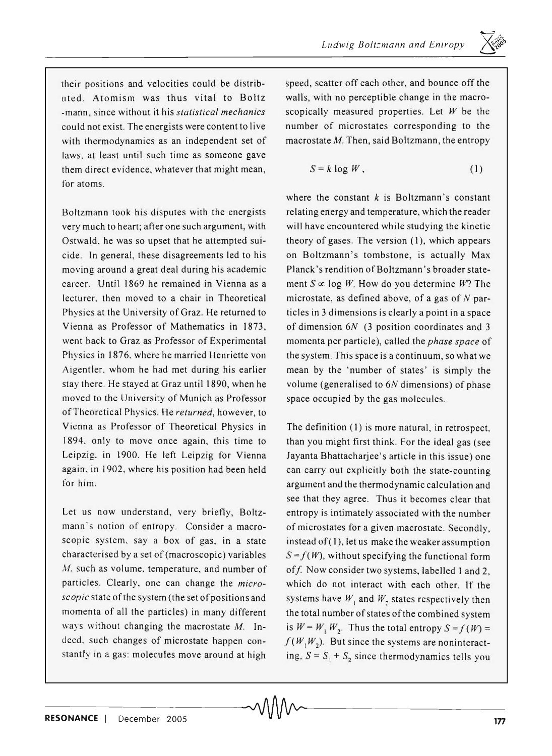their positions and velocities could be distributed. Atomism was thus vital to Boltz -mann. since without it his *statistical mechanics*  could not exist. The energists were content to live with thermodynamics as an independent set of laws. at least until such time as someone gave them direct evidence, whatever that might mean, for atoms.

Boltzmann took his disputes with the energists very much to heart; after one such argument, with Ostwald. he was so upset that he attempted suicide. In general, these disagreements led to his moving around a great deal during his academic career. Until 1869 he remained in Vienna as a lecturer. then moved to a chair in Theoretical Physics at the University of Graz. He returned to Vienna as Professor of Mathematics in 1873, went back to Graz as Professor of Experimental Physics in 1876. where he married Henriette von Aigentler. whom he had met during his earlier stay there. He stayed at Graz until 1890, when he moved to the University of Munich as Professor of Theoretical Physics. He *returned,* however, to Vienna as Professor of Theoretical Physics in 1894. only to move once again, this time to Leipzig. in 1900. He left Leipzig for Vienna again. in 1902. where his position had been held for him.

Let us now understand, very briefly, Boltzmann's notion of entropy. Consider a macroscopic system, say a box of gas, in a state characterised by a set of (macroscopic) variables *M,* such as volume, temperature, and number of particles. Clearly, one can change the *microscopic* state of the system (the set of positions and momenta of all the particles) in many different ways without changing the macrostate *M.* Indeed, such changes of microstate happen constantly in a gas: molecules move around at high

speed, scatter off each other, and bounce off the walls, with no perceptible change in the macroscopically measured properties. Let *W* be the number of microstates corresponding to the macrostate M. Then, said Boltzmann, the entropy

$$
S = k \log W, \tag{1}
$$

where the constant  $k$  is Boltzmann's constant relating energy and temperature, which the reader will have encountered while studying the kinetic theory of gases. The version (I), which appears on Boltzmann's tombstone, is actually Max Planck's rendition of Boltzmann's broader statement  $S \propto \log W$ . How do you determine *W*? The microstate, as defined above, of a gas of  $N$  particles in 3 dimensions is clearly a point in a space of dimension 6N (3 position coordinates and 3 momenta per particle), called the *phase space* of the system. This space is a continuum, so what we mean by the 'number of states' is simply the volume (generalised to 6N dimensions) of phase space occupied by the gas molecules.

The definition (I) is more natural, in retrospect, than you might first think. For the ideal gas (see Jayanta Bhattacharjee's article in this issue) one can carry out explicitly both the state-counting argument and the thermodynamic calculation and see that they agree. Thus it becomes clear that entropy is intimately associated with the number of microstates for a given macrostate. Secondly, instead of  $(1)$ , let us make the weaker assumption  $S = f(W)$ , without specifying the functional form of f. Now consider two systems, labelled 1 and 2, which do not interact with each other. If the systems have  $W_1$  and  $W_2$  states respectively then the total number of states of the combined system is  $W = W_1 W_2$ . Thus the total entropy  $S = f(W) =$  $f(W_1 W_2)$ . But since the systems are noninteracting,  $S = S_1 + S_2$  since thermodynamics tells you